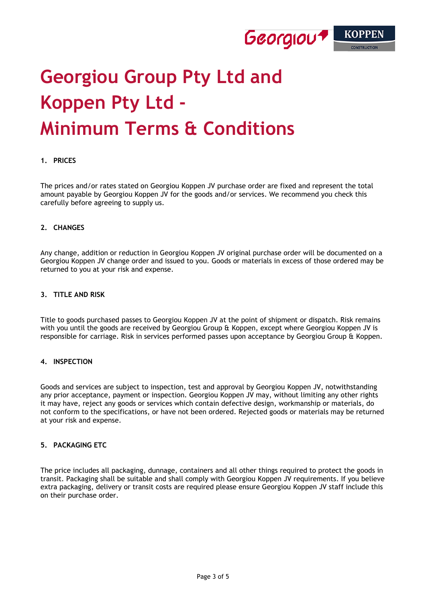

# **Georgiou Group Pty Ltd and Koppen Pty Ltd - Minimum Terms & Conditions**

# **1. PRICES**

The prices and/or rates stated on Georgiou Koppen JV purchase order are fixed and represent the total amount payable by Georgiou Koppen JV for the goods and/or services. We recommend you check this carefully before agreeing to supply us.

#### **2. CHANGES**

Any change, addition or reduction in Georgiou Koppen JV original purchase order will be documented on a Georgiou Koppen JV change order and issued to you. Goods or materials in excess of those ordered may be returned to you at your risk and expense.

# **3. TITLE AND RISK**

Title to goods purchased passes to Georgiou Koppen JV at the point of shipment or dispatch. Risk remains with you until the goods are received by Georgiou Group & Koppen, except where Georgiou Koppen JV is responsible for carriage. Risk in services performed passes upon acceptance by Georgiou Group & Koppen.

#### **4. INSPECTION**

Goods and services are subject to inspection, test and approval by Georgiou Koppen JV, notwithstanding any prior acceptance, payment or inspection. Georgiou Koppen JV may, without limiting any other rights it may have, reject any goods or services which contain defective design, workmanship or materials, do not conform to the specifications, or have not been ordered. Rejected goods or materials may be returned at your risk and expense.

# **5. PACKAGING ETC**

The price includes all packaging, dunnage, containers and all other things required to protect the goods in transit. Packaging shall be suitable and shall comply with Georgiou Koppen JV requirements. If you believe extra packaging, delivery or transit costs are required please ensure Georgiou Koppen JV staff include this on their purchase order.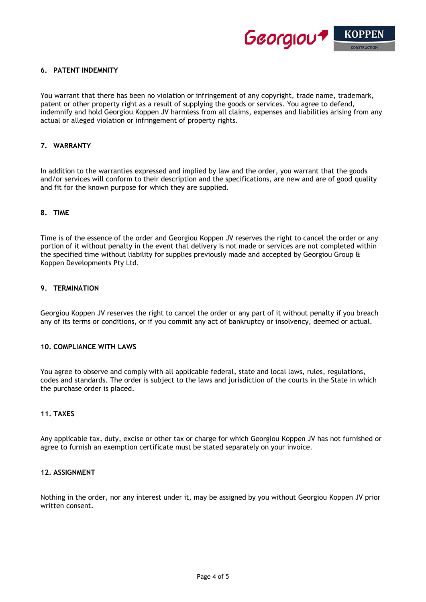

# **6. PATENT INDEMNITY**

You warrant that there has been no violation or infringement of any copyright, trade name, trademark, patent or other property right as a result of supplying the goods or services. You agree to defend, indemnify and hold Georgiou Koppen JV harmless from all claims, expenses and liabilities arising from any actual or alleged violation or infringement of property rights.

# **7. WARRANTY**

In addition to the warranties expressed and implied by law and the order, you warrant that the goods and/or services will conform to their description and the specifications, are new and are of good quality and fit for the known purpose for which they are supplied.

#### **8. TIME**

Time is of the essence of the order and Georgiou Koppen JV reserves the right to cancel the order or any portion of it without penalty in the event that delivery is not made or services are not completed within the specified time without liability for supplies previously made and accepted by Georgiou Group & Koppen Developments Pty Ltd.

# **9. TERMINATION**

Georgiou Koppen JV reserves the right to cancel the order or any part of it without penalty if you breach any of its terms or conditions, or if you commit any act of bankruptcy or insolvency, deemed or actual.

#### **10. COMPLIANCE WITH LAWS**

You agree to observe and comply with all applicable federal, state and local laws, rules, regulations, codes and standards. The order is subject to the laws and jurisdiction of the courts in the State in which the purchase order is placed.

# **11. TAXES**

Any applicable tax, duty, excise or other tax or charge for which Georgiou Koppen JV has not furnished or agree to furnish an exemption certificate must be stated separately on your invoice.

#### **12. ASSIGNMENT**

Nothing in the order, nor any interest under it, may be assigned by you without Georgiou Koppen JV prior written consent.